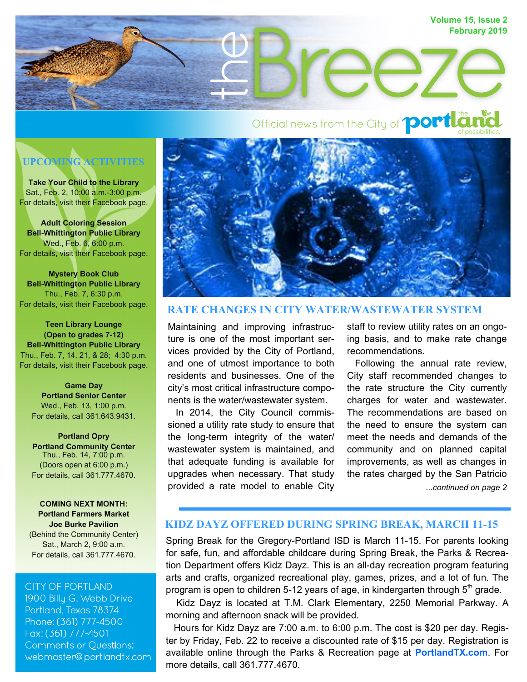

Official news from the City of **port Law** 



**Take Your Child to the Library**  Sat., Feb. 2, 10:00 a.m.-3:00 p.m. For details, visit their Facebook page.

**Adult Coloring Session Bell-Whittington Public Library**  Wed., Feb. 6, 6:00 p.m. For details, visit their Facebook page.

**Mystery Book Club Bell-Whittington Public Library**  Thu., Feb. 7, 6:30 p.m. For details, visit their Facebook page.

**Teen Library Lounge (Open to grades 7-12) Bell-Whittington Public Library**  Thu., Feb. 7, 14, 21, & 28; 4:30 p.m. For details, visit their Facebook page.

**Game Day Portland Senior Center**  Wed., Feb. 13, 1:00 p.m. For details, call 361.643.9431.

**Portland Opry Portland Community Center**  Thu., Feb. 14, 7:00 p.m. (Doors open at 6:00 p.m.) For details, call 361.777.4670.

**COMING NEXT MONTH: Portland Farmers Market Joe Burke Pavilion**  (Behind the Community Center) Sat., March 2, 9:00 a.m. For details, call 361.777.4670.

#### **CITY OF PORTLAND**

1900 Billy G. Webb Drive Portland, Texas 78374 Phone: (361) 777-4500 Fax: (361) 777-4501 **Comments or Questions:** webmaster@portlandtx.com



## **RATE CHANGES IN CITY WATER/WASTEWATER SYSTEM**

Maintaining and improving infrastructure is one of the most important services provided by the City of Portland, and one of utmost importance to both residents and businesses. One of the city's most critical infrastructure components is the water/wastewater system.

 In 2014, the City Council commissioned a utility rate study to ensure that the long-term integrity of the water/ wastewater system is maintained, and that adequate funding is available for upgrades when necessary. That study provided a rate model to enable City

staff to review utility rates on an ongoing basis, and to make rate change recommendations.

*...continued on page 2* Following the annual rate review, City staff recommended changes to the rate structure the City currently charges for water and wastewater. The recommendations are based on the need to ensure the system can meet the needs and demands of the community and on planned capital improvements, as well as changes in the rates charged by the San Patricio

# **KIDZ DAYZ OFFERED DURING SPRING BREAK, MARCH 11-15**

Spring Break for the Gregory-Portland ISD is March 11-15. For parents looking for safe, fun, and affordable childcare during Spring Break, the Parks & Recreation Department offers Kidz Dayz. This is an all-day recreation program featuring arts and crafts, organized recreational play, games, prizes, and a lot of fun. The program is open to children 5-12 years of age, in kindergarten through  $5<sup>th</sup>$  grade.

 Kidz Dayz is located at T.M. Clark Elementary, 2250 Memorial Parkway. A morning and afternoon snack will be provided.

 Hours for Kidz Dayz are 7:00 a.m. to 6:00 p.m. The cost is \$20 per day. Register by Friday, Feb. 22 to receive a discounted rate of \$15 per day. Registration is available online through the Parks & Recreation page at **PortlandTX.com**. For more details, call 361.777.4670.